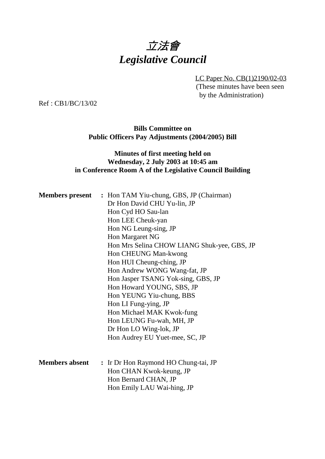# 立法會 *Legislative Council*

LC Paper No. CB(1)2190/02-03 (These minutes have been seen by the Administration)

Ref : CB1/BC/13/02

**Bills Committee on Public Officers Pay Adjustments (2004/2005) Bill**

### **Minutes of first meeting held on Wednesday, 2 July 2003 at 10:45 am in Conference Room A of the Legislative Council Building**

|                       | <b>Members present</b> : Hon TAM Yiu-chung, GBS, JP (Chairman) |
|-----------------------|----------------------------------------------------------------|
|                       | Dr Hon David CHU Yu-lin, JP                                    |
|                       | Hon Cyd HO Sau-lan                                             |
|                       | Hon LEE Cheuk-yan                                              |
|                       | Hon NG Leung-sing, JP                                          |
|                       | Hon Margaret NG                                                |
|                       | Hon Mrs Selina CHOW LIANG Shuk-yee, GBS, JP                    |
|                       | Hon CHEUNG Man-kwong                                           |
|                       | Hon HUI Cheung-ching, JP                                       |
|                       | Hon Andrew WONG Wang-fat, JP                                   |
|                       | Hon Jasper TSANG Yok-sing, GBS, JP                             |
|                       | Hon Howard YOUNG, SBS, JP                                      |
|                       | Hon YEUNG Yiu-chung, BBS                                       |
|                       | Hon LI Fung-ying, JP                                           |
|                       | Hon Michael MAK Kwok-fung                                      |
|                       | Hon LEUNG Fu-wah, MH, JP                                       |
|                       | Dr Hon LO Wing-lok, JP                                         |
|                       | Hon Audrey EU Yuet-mee, SC, JP                                 |
|                       |                                                                |
| <b>Members absent</b> | : Ir Dr Hon Raymond HO Chung-tai, JP                           |
|                       | Hon CHAN Kwok-keung, JP                                        |
|                       | Hon Bernard CHAN, JP                                           |
|                       | Hon Emily LAU Wai-hing, JP                                     |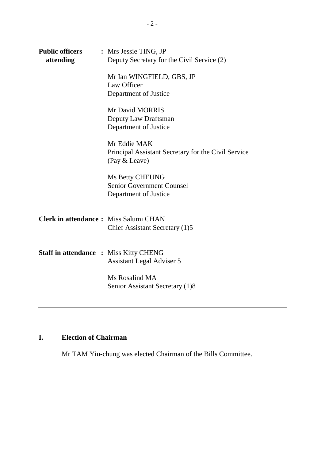| <b>Public officers</b><br>attending           | : Mrs Jessie TING, JP<br>Deputy Secretary for the Civil Service (2)                  |
|-----------------------------------------------|--------------------------------------------------------------------------------------|
|                                               | Mr Ian WINGFIELD, GBS, JP<br>Law Officer<br>Department of Justice                    |
|                                               | Mr David MORRIS<br>Deputy Law Draftsman<br>Department of Justice                     |
|                                               | Mr Eddie MAK<br>Principal Assistant Secretary for the Civil Service<br>(Pay & Leave) |
|                                               | <b>Ms Betty CHEUNG</b><br><b>Senior Government Counsel</b><br>Department of Justice  |
| <b>Clerk in attendance:</b> Miss Salumi CHAN  | Chief Assistant Secretary (1)5                                                       |
| <b>Staff in attendance : Miss Kitty CHENG</b> | <b>Assistant Legal Adviser 5</b>                                                     |
|                                               | Ms Rosalind MA<br>Senior Assistant Secretary (1)8                                    |

## **I. Election of Chairman**

Mr TAM Yiu-chung was elected Chairman of the Bills Committee.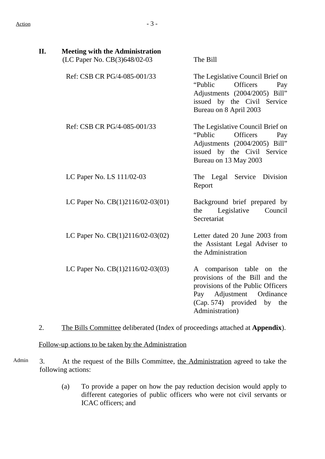| II. | <b>Meeting with the Administration</b><br>(LC Paper No. CB(3)648/02-03       |                 | The Bill                                                                                                                                                                            |
|-----|------------------------------------------------------------------------------|-----------------|-------------------------------------------------------------------------------------------------------------------------------------------------------------------------------------|
|     | Ref: CSB CR PG/4-085-001/33                                                  |                 | The Legislative Council Brief on<br><b>Officers</b><br>"Public<br>Pay<br>Adjustments (2004/2005) Bill"<br>issued by the Civil Service<br>Bureau on 8 April 2003                     |
|     | Ref: CSB CR PG/4-085-001/33                                                  |                 | The Legislative Council Brief on<br>"Public<br>Officers<br>Pay<br>Adjustments (2004/2005) Bill"<br>issued by the Civil Service<br>Bureau on 13 May 2003                             |
|     | LC Paper No. LS 111/02-03                                                    |                 | The Legal Service<br>Division<br>Report                                                                                                                                             |
|     | LC Paper No. $CB(1)2116/02-03(01)$                                           |                 | Background brief prepared by<br>Council<br>the<br>Legislative<br>Secretariat                                                                                                        |
|     | LC Paper No. CB(1)2116/02-03(02)                                             |                 | Letter dated 20 June 2003 from<br>the Assistant Legal Adviser to<br>the Administration                                                                                              |
|     | LC Paper No. CB(1)2116/02-03(03)                                             | $\qquad \qquad$ | A comparison table on the<br>provisions of the Bill and the<br>provisions of the Public Officers<br>Pay Adjustment Ordinance<br>(Cap. 574) provided<br>by<br>the<br>Administration) |
| 2.  | The Bills Committee deliberated (Index of proceedings attached at Appendix). |                 |                                                                                                                                                                                     |

Follow-up actions to be taken by the Administration

- Admin 3. At the request of the Bills Committee, the Administration agreed to take the following actions:
	- (a) To provide a paper on how the pay reduction decision would apply to different categories of public officers who were not civil servants or ICAC officers; and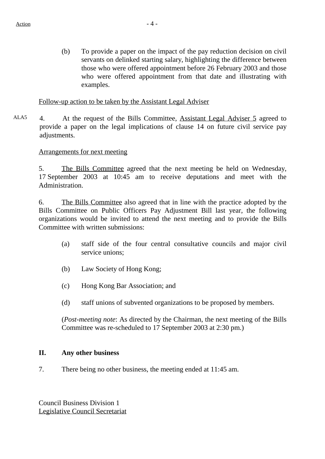(b) To provide a paper on the impact of the pay reduction decision on civil servants on delinked starting salary, highlighting the difference between those who were offered appointment before 26 February 2003 and those who were offered appointment from that date and illustrating with examples.

#### Follow-up action to be taken by the Assistant Legal Adviser

ALA5 4. At the request of the Bills Committee, Assistant Legal Adviser 5 agreed to provide a paper on the legal implications of clause 14 on future civil service pay adjustments.

#### Arrangements for next meeting

5. The Bills Committee agreed that the next meeting be held on Wednesday, 17 September 2003 at 10:45 am to receive deputations and meet with the Administration.

6. The Bills Committee also agreed that in line with the practice adopted by the Bills Committee on Public Officers Pay Adjustment Bill last year, the following organizations would be invited to attend the next meeting and to provide the Bills Committee with written submissions:

- (a) staff side of the four central consultative councils and major civil service unions;
- (b) Law Society of Hong Kong;
- (c) Hong Kong Bar Association; and
- (d) staff unions of subvented organizations to be proposed by members.

(*Post-meeting note*: As directed by the Chairman, the next meeting of the Bills Committee was re-scheduled to 17 September 2003 at 2:30 pm.)

#### **II. Any other business**

7. There being no other business, the meeting ended at 11:45 am.

Council Business Division 1 Legislative Council Secretariat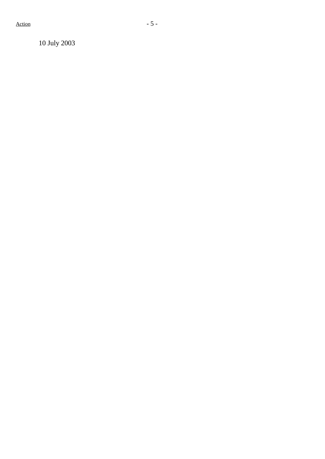10 July 2003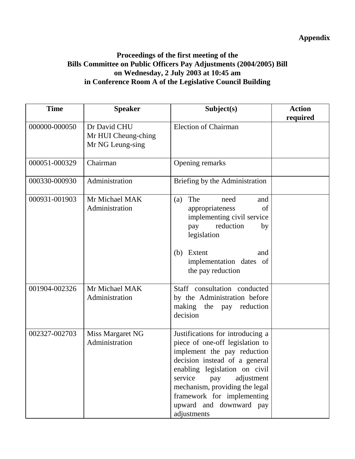## **Appendix**

### **Proceedings of the first meeting of the Bills Committee on Public Officers Pay Adjustments (2004/2005) Bill on Wednesday, 2 July 2003 at 10:45 am in Conference Room A of the Legislative Council Building**

| <b>Time</b>   | <b>Speaker</b>                                          | Subject(s)                                                                                                                                                                                                                                                                                                     | <b>Action</b><br>required |
|---------------|---------------------------------------------------------|----------------------------------------------------------------------------------------------------------------------------------------------------------------------------------------------------------------------------------------------------------------------------------------------------------------|---------------------------|
| 000000-000050 | Dr David CHU<br>Mr HUI Cheung-ching<br>Mr NG Leung-sing | <b>Election of Chairman</b>                                                                                                                                                                                                                                                                                    |                           |
| 000051-000329 | Chairman                                                | Opening remarks                                                                                                                                                                                                                                                                                                |                           |
| 000330-000930 | Administration                                          | Briefing by the Administration                                                                                                                                                                                                                                                                                 |                           |
| 000931-001903 | Mr Michael MAK<br>Administration                        | The<br>(a)<br>need<br>and<br>appropriateness<br>of<br>implementing civil service<br>reduction<br>pay<br>by<br>legislation<br>Extent<br>(b)<br>and<br>implementation dates of<br>the pay reduction                                                                                                              |                           |
| 001904-002326 | Mr Michael MAK<br>Administration                        | Staff consultation conducted<br>by the Administration before<br>making the pay<br>reduction<br>decision                                                                                                                                                                                                        |                           |
| 002327-002703 | Miss Margaret NG<br>Administration                      | Justifications for introducing a<br>piece of one-off legislation to<br>implement the pay reduction<br>decision instead of a general<br>enabling legislation on civil<br>service<br>adjustment<br>pay<br>mechanism, providing the legal<br>framework for implementing<br>upward and downward pay<br>adjustments |                           |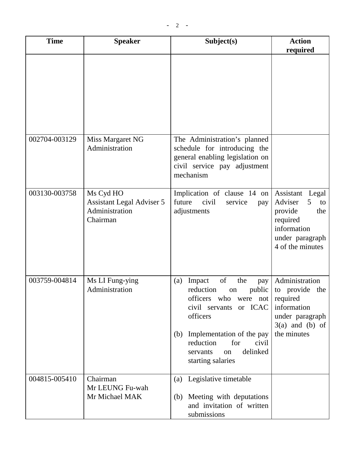| <b>Time</b>   | <b>Speaker</b>                                                              | Subject(s)                                                                                                                                                                                                                                                 |                                                                                                                              |
|---------------|-----------------------------------------------------------------------------|------------------------------------------------------------------------------------------------------------------------------------------------------------------------------------------------------------------------------------------------------------|------------------------------------------------------------------------------------------------------------------------------|
| 002704-003129 | Miss Margaret NG                                                            | The Administration's planned                                                                                                                                                                                                                               |                                                                                                                              |
|               | Administration                                                              | schedule for introducing the<br>general enabling legislation on<br>civil service pay adjustment<br>mechanism                                                                                                                                               |                                                                                                                              |
| 003130-003758 | Ms Cyd HO<br><b>Assistant Legal Adviser 5</b><br>Administration<br>Chairman | Implication of clause 14 on<br>future<br>civil<br>service<br>pay<br>adjustments                                                                                                                                                                            | Assistant<br>Legal<br>Adviser<br>5<br>to<br>provide<br>the<br>required<br>information<br>under paragraph<br>4 of the minutes |
| 003759-004814 | Ms LI Fung-ying<br>Administration                                           | of<br>the<br>Impact<br>(a)<br>pay<br>public<br>reduction<br>on<br>officers<br>who<br>were not<br>or ICAC<br>civil servants<br>officers<br>Implementation of the pay<br>(b)<br>reduction<br>for<br>civil<br>delinked<br>servants<br>on<br>starting salaries | Administration<br>to provide the<br>required<br>information<br>under paragraph<br>$3(a)$ and (b) of<br>the minutes           |
| 004815-005410 | Chairman<br>Mr LEUNG Fu-wah<br>Mr Michael MAK                               | (a) Legislative timetable<br>(b) Meeting with deputations<br>and invitation of written<br>submissions                                                                                                                                                      |                                                                                                                              |